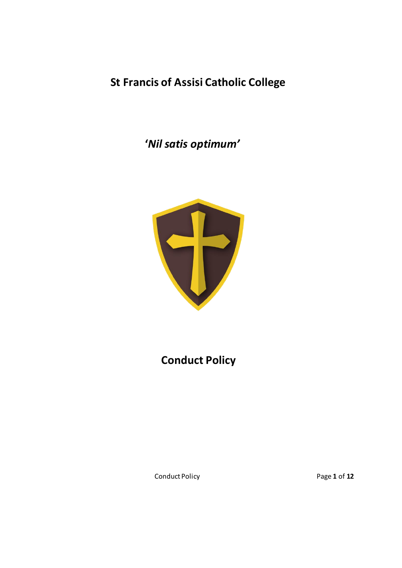**St Francis of Assisi Catholic College**

 **'***Nil satis optimum'*



# **Conduct Policy**

Conduct Policy Page **1** of **12**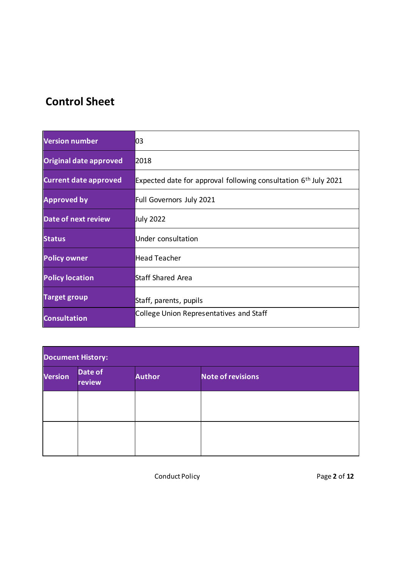# **Control Sheet**

| Version number               | 03                                                                |  |
|------------------------------|-------------------------------------------------------------------|--|
| Original date approved       | 2018                                                              |  |
| <b>Current date approved</b> | Expected date for approval following consultation $6th$ July 2021 |  |
| <b>Approved by</b>           | Full Governors July 2021                                          |  |
| <b>Date of next review</b>   | July 2022                                                         |  |
| <b>Status</b>                | Under consultation                                                |  |
| <b>Policy owner</b>          | Head Teacher                                                      |  |
| <b>Policy location</b>       | Staff Shared Area                                                 |  |
| <b>Target group</b>          | Staff, parents, pupils                                            |  |
| <b>Consultation</b>          | College Union Representatives and Staff                           |  |

| <b>Document History:</b> |                   |               |                          |  |  |  |
|--------------------------|-------------------|---------------|--------------------------|--|--|--|
| <b>Version</b>           | Date of<br>review | <b>Author</b> | <b>Note of revisions</b> |  |  |  |
|                          |                   |               |                          |  |  |  |
|                          |                   |               |                          |  |  |  |

Conduct Policy Page **2** of **12**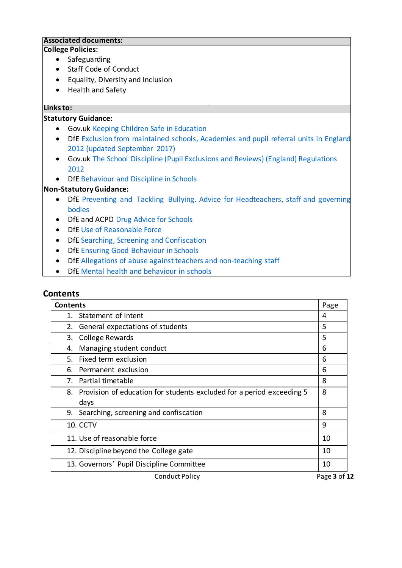# **Associated documents: College Policies:** • Safeguarding • Staff Code of Conduct • Equality, Diversity and Inclusion • Health and Safety **Links to: Statutory Guidance:**

- Gov.uk [Keeping Children Safe in Education](https://www.gov.uk/government/publications/keeping-children-safe-in-education--2)
- DfE [Exclusion from maintained schools, Academies and pupil referral units in England](https://assets.publishing.service.gov.uk/government/uploads/system/uploads/attachment_data/file/921405/20170831_Exclusion_Stat_guidance_Web_version.pdf)  [2012 \(updated September](https://assets.publishing.service.gov.uk/government/uploads/system/uploads/attachment_data/file/921405/20170831_Exclusion_Stat_guidance_Web_version.pdf) 2017)
- Gov.uk [The School Discipline \(Pupil Exclusions and Reviews\) \(England\) Regulations](https://www.gov.uk/government/publications/school-exclusion) [2012](https://www.gov.uk/government/publications/school-exclusion)
- DfE [Behaviour and Discipline in](https://assets.publishing.service.gov.uk/government/uploads/system/uploads/attachment_data/file/463484/Behaviour_and_discipline_in_schools_guidance_for_governing_bodies.pdf) Schools

#### **Non-Statutory Guidance:**

- DfE Preventing and Tackling [Bullying. Advice for Headteachers, staff and governing](https://assets.publishing.service.gov.uk/government/uploads/system/uploads/attachment_data/file/623895/Preventing_and_tackling_bullying_advice.pdf)  [bodies](https://assets.publishing.service.gov.uk/government/uploads/system/uploads/attachment_data/file/623895/Preventing_and_tackling_bullying_advice.pdf)
- DfE and ACPO [Drug Advice for](https://assets.publishing.service.gov.uk/government/uploads/system/uploads/attachment_data/file/270169/drug_advice_for_schools.pdf) Schools
- DfE [Use of Reasonable](https://assets.publishing.service.gov.uk/government/uploads/system/uploads/attachment_data/file/444051/Use_of_reasonable_force_advice_Reviewed_July_2015.pdf) Force
- DfE [Searching, Screening](https://assets.publishing.service.gov.uk/government/uploads/system/uploads/attachment_data/file/674416/Searching_screening_and_confiscation.pdf) and Confiscation
- DfE [Ensuring Good Behaviour in Schools](http://www.afpe.org.uk/physical-education/wp-content/uploads/Ensuring_Good_Behaviour_in_Schools.pdf)
- DfE [Allegations of abuse against teachers and non-teaching](https://www.gov.uk/government/publications/allegations-of-abuse-against-teachers-and-non-teaching-staff) staff
- DfE [Mental health and behaviour in](https://assets.publishing.service.gov.uk/government/uploads/system/uploads/attachment_data/file/755135/Mental_health_and_behaviour_in_schools__.pdf) schools

### **Contents**

| <b>Contents</b>                                                          |    |
|--------------------------------------------------------------------------|----|
| 1. Statement of intent                                                   | 4  |
| General expectations of students<br>2.                                   | 5  |
| <b>College Rewards</b><br>3.                                             | 5  |
| Managing student conduct<br>4.                                           | 6  |
| Fixed term exclusion<br>5.                                               | 6  |
| 6. Permanent exclusion                                                   | 6  |
| Partial timetable<br>7.                                                  | 8  |
| 8. Provision of education for students excluded for a period exceeding 5 | 8  |
| days                                                                     |    |
| 9. Searching, screening and confiscation                                 | 8  |
| <b>10. CCTV</b>                                                          | 9  |
| 11. Use of reasonable force                                              | 10 |
| 12. Discipline beyond the College gate                                   | 10 |
| 13. Governors' Pupil Discipline Committee                                | 10 |

Conduct Policy **Page 3** of 12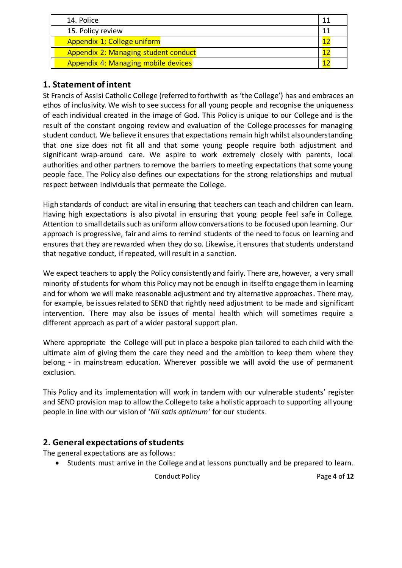| 14. Police                                  |  |
|---------------------------------------------|--|
| 15. Policy review                           |  |
| Appendix 1: College uniform                 |  |
| <b>Appendix 2: Managing student conduct</b> |  |
| <b>Appendix 4: Managing mobile devices</b>  |  |

# **1. Statement of intent**

St Francis of Assisi Catholic College (referred to forthwith as 'the College') has and embraces an ethos of inclusivity. We wish to see success for all young people and recognise the uniqueness of each individual created in the image of God. This Policy is unique to our College and is the result of the constant ongoing review and evaluation of the College processes for managing student conduct. We believe it ensures that expectations remain high whilst also understanding that one size does not fit all and that some young people require both adjustment and significant wrap-around care. We aspire to work extremely closely with parents, local authorities and other partners to remove the barriers to meeting expectations that some young people face. The Policy also defines our expectations for the strong relationships and mutual respect between individuals that permeate the College.

High standards of conduct are vital in ensuring that teachers can teach and children can learn. Having high expectations is also pivotal in ensuring that young people feel safe in College. Attention to small details such as uniform allow conversations to be focused upon learning. Our approach is progressive, fair and aims to remind students of the need to focus on learning and ensures that they are rewarded when they do so. Likewise, it ensures that students understand that negative conduct, if repeated, will result in a sanction.

We expect teachers to apply the Policy consistently and fairly. There are, however, a very small minority of students for whom this Policy may not be enough in itself to engage them in learning and for whom we will make reasonable adjustment and try alternative approaches. There may, for example, be issues related to SEND that rightly need adjustment to be made and significant intervention. There may also be issues of mental health which will sometimes require a different approach as part of a wider pastoral support plan.

Where appropriate the College will put in place a bespoke plan tailored to each child with the ultimate aim of giving them the care they need and the ambition to keep them where they belong - in mainstream education. Wherever possible we will avoid the use of permanent exclusion.

This Policy and its implementation will work in tandem with our vulnerable students' register and SEND provision map to allow the College to take a holistic approach to supporting all young people in line with our vision of '*Nil satis optimum'* for our students.

# **2. General expectations of students**

The general expectations are as follows:

• Students must arrive in the College and at lessons punctually and be prepared to learn.

Conduct Policy Page **4** of **12**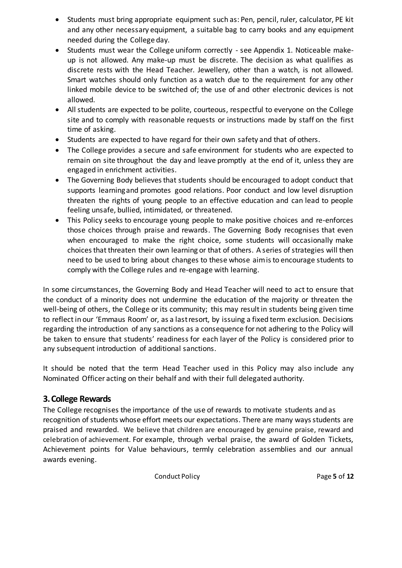- Students must bring appropriate equipment such as: Pen, pencil, ruler, calculator, PE kit and any other necessary equipment, a suitable bag to carry books and any equipment needed during the College day.
- Students must wear the College uniform correctly see Appendix 1. Noticeable makeup is not allowed. Any make-up must be discrete. The decision as what qualifies as discrete rests with the Head Teacher. Jewellery, other than a watch, is not allowed. Smart watches should only function as a watch due to the requirement for any other linked mobile device to be switched of; the use of and other electronic devices is not allowed.
- All students are expected to be polite, courteous, respectful to everyone on the College site and to comply with reasonable requests or instructions made by staff on the first time of asking.
- Students are expected to have regard for their own safety and that of others.
- The College provides a secure and safe environment for students who are expected to remain on site throughout the day and leave promptly at the end of it, unless they are engaged in enrichment activities.
- The Governing Body believes that students should be encouraged to adopt conduct that supports learningand promotes good relations. Poor conduct and low level disruption threaten the rights of young people to an effective education and can lead to people feeling unsafe, bullied, intimidated, or threatened.
- This Policy seeks to encourage young people to make positive choices and re-enforces those choices through praise and rewards. The Governing Body recognises that even when encouraged to make the right choice, some students will occasionally make choicesthat threaten their own learning or that of others. A series of strategies will then need to be used to bring about changes to these whose aimisto encourage students to comply with the College rules and re-engage with learning.

In some circumstances, the Governing Body and Head Teacher will need to act to ensure that the conduct of a minority does not undermine the education of the majority or threaten the well-being of others, the College or its community; this may result in students being given time to reflect in our 'Emmaus Room' or, as a lastresort, by issuing a fixed term exclusion. Decisions regarding the introduction of any sanctions as a consequence for not adhering to the Policy will be taken to ensure that students' readiness for each layer of the Policy is considered prior to any subsequent introduction of additional sanctions.

It should be noted that the term Head Teacher used in this Policy may also include any Nominated Officer acting on their behalf and with their full delegated authority.

### **3. College Rewards**

The College recognises the importance of the use of rewards to motivate students and as recognition of students whose effort meets our expectations. There are many ways students are praised and rewarded. We believe that children are encouraged by genuine praise, reward and celebration of achievement. For example, through verbal praise, the award of Golden Tickets, Achievement points for Value behaviours, termly celebration assemblies and our annual awards evening.

Conduct Policy Page **5** of **12**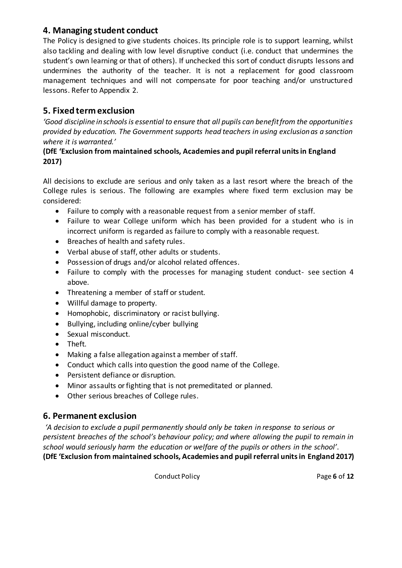### **4. Managing student conduct**

The Policy is designed to give students choices. Its principle role is to support learning, whilst also tackling and dealing with low level disruptive conduct (i.e. conduct that undermines the student's own learning or that of others). If unchecked this sort of conduct disrupts lessons and undermines the authority of the teacher. It is not a replacement for good classroom management techniques and will not compensate for poor teaching and/or unstructured lessons. Refer to Appendix 2.

### **5. Fixed term exclusion**

*'Good discipline in schools is essential to ensure that all pupils can benefit from the opportunities provided by education. The Government supports head teachers in using exclusion as a sanction where it is warranted.'*

#### **(DfE 'Exclusion from maintained schools, Academies and pupil referral units in England 2017)**

All decisions to exclude are serious and only taken as a last resort where the breach of the College rules is serious. The following are examples where fixed term exclusion may be considered:

- Failure to comply with a reasonable request from a senior member of staff.
- Failure to wear College uniform which has been provided for a student who is in incorrect uniform is regarded as failure to comply with a reasonable request.
- Breaches of health and safety rules.
- Verbal abuse of staff, other adults or students.
- Possession of drugs and/or alcohol related offences.
- Failure to comply with the processes for managing student conduct- see section 4 above.
- Threatening a member of staff or student.
- Willful damage to property.
- Homophobic, discriminatory or racist bullying.
- Bullying, including online/cyber bullying
- Sexual misconduct.
- Theft.
- Making a false allegation against a member of staff.
- Conduct which calls into question the good name of the College.
- Persistent defiance or disruption.
- Minor assaults or fighting that is not premeditated or planned.
- Other serious breaches of College rules.

### **6. Permanent exclusion**

*'A decision to exclude a pupil permanently should only be taken in response to serious or persistent breaches of the school's behaviour policy; and where allowing the pupil to remain in school would seriously harm the education or welfare of the pupils or others in the school'*. **(DfE 'Exclusion from maintained schools, Academies and pupil referral units in England 2017)**

Conduct Policy Page **6** of **12**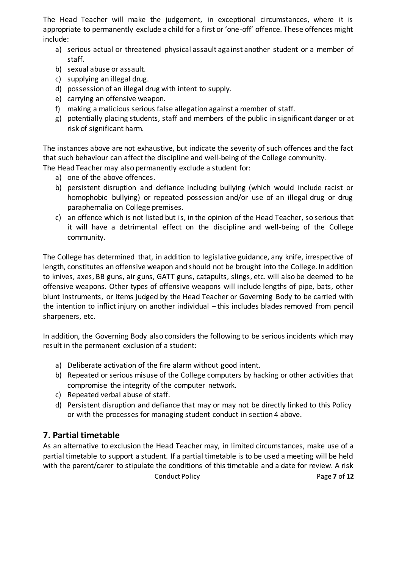The Head Teacher will make the judgement, in exceptional circumstances, where it is appropriate to permanently exclude a child for a first or 'one-off' offence. These offences might include:

- a) serious actual or threatened physical assault against another student or a member of staff.
- b) sexual abuse or assault.
- c) supplying an illegal drug.
- d) possession of an illegal drug with intent to supply.
- e) carrying an offensive weapon.
- f) making a malicious serious false allegation against a member of staff.
- g) potentially placing students, staff and members of the public in significant danger or at risk of significant harm.

The instances above are not exhaustive, but indicate the severity of such offences and the fact that such behaviour can affect the discipline and well-being of the College community.

The Head Teacher may also permanently exclude a student for:

- a) one of the above offences.
- b) persistent disruption and defiance including bullying (which would include racist or homophobic bullying) or repeated possession and/or use of an illegal drug or drug paraphernalia on College premises.
- c) an offence which is not listed but is, in the opinion of the Head Teacher, so serious that it will have a detrimental effect on the discipline and well-being of the College community.

The College has determined that, in addition to legislative guidance, any knife, irrespective of length, constitutes an offensive weapon and should not be brought into the College. In addition to knives, axes, BB guns, air guns, GATT guns, catapults, slings, etc. will also be deemed to be offensive weapons. Other types of offensive weapons will include lengths of pipe, bats, other blunt instruments, or items judged by the Head Teacher or Governing Body to be carried with the intention to inflict injury on another individual – this includes blades removed from pencil sharpeners, etc.

In addition, the Governing Body also considers the following to be serious incidents which may result in the permanent exclusion of a student:

- a) Deliberate activation of the fire alarm without good intent.
- b) Repeated or serious misuse of the College computers by hacking or other activities that compromise the integrity of the computer network.
- c) Repeated verbal abuse of staff.
- d) Persistent disruption and defiance that may or may not be directly linked to this Policy or with the processes for managing student conduct in section 4 above.

# **7. Partial timetable**

As an alternative to exclusion the Head Teacher may, in limited circumstances, make use of a partial timetable to support a student. If a partial timetable is to be used a meeting will be held with the parent/carer to stipulate the conditions of this timetable and a date for review. A risk

Conduct Policy Page **7** of **12**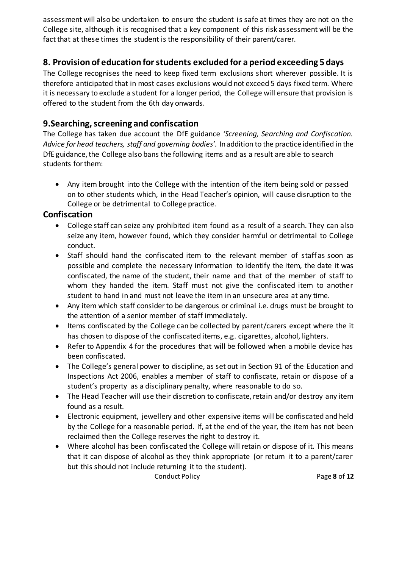assessment will also be undertaken to ensure the student is safe at times they are not on the College site, although it is recognised that a key component of this risk assessment will be the fact that at these times the student is the responsibility of their parent/carer.

### **8. Provision of education for students excluded for a period exceeding 5days**

The College recognises the need to keep fixed term exclusions short wherever possible. It is therefore anticipated that in most cases exclusions would not exceed 5 days fixed term. Where it is necessary to exclude a student for a longer period, the College will ensure that provision is offered to the student from the 6th day onwards.

### **9.Searching, screening and confiscation**

The College has taken due account the DfE guidance *'Screening, Searching and Confiscation. Advice for head teachers, staff and governing bodies'.* Inaddition to the practice identified in the DfE guidance, the College also bans the following items and as a result are able to search students for them:

• Any item brought into the College with the intention of the item being sold or passed on to other students which, in the Head Teacher's opinion, will cause disruption to the College or be detrimental to College practice.

### **Confiscation**

- College staff can seize any prohibited item found as a result of a search. They can also seize any item, however found, which they consider harmful or detrimental to College conduct.
- Staff should hand the confiscated item to the relevant member of staff as soon as possible and complete the necessary information to identify the item, the date it was confiscated, the name of the student, their name and that of the member of staff to whom they handed the item. Staff must not give the confiscated item to another student to hand in and must not leave the item in an unsecure area at any time.
- Any item which staff consider to be dangerous or criminal i.e. drugs must be brought to the attention of a senior member of staff immediately.
- Items confiscated by the College can be collected by parent/carers except where the it has chosen to dispose of the confiscated items, e.g. cigarettes, alcohol, lighters.
- Refer to Appendix 4 for the procedures that will be followed when a mobile device has been confiscated.
- The College's general power to discipline, as set out in Section 91 of the Education and Inspections Act 2006, enables a member of staff to confiscate, retain or dispose of a student's property as a disciplinary penalty, where reasonable to do so.
- The Head Teacher will use their discretion to confiscate, retain and/or destroy any item found as a result.
- Electronic equipment, jewellery and other expensive items will be confiscated and held by the College for a reasonable period. If, at the end of the year, the item has not been reclaimed then the College reserves the right to destroy it.
- Where alcohol has been confiscated the College will retain or dispose of it. This means that it can dispose of alcohol as they think appropriate (or return it to a parent/carer but this should not include returning it to the student).

Conduct Policy Page **8** of **12**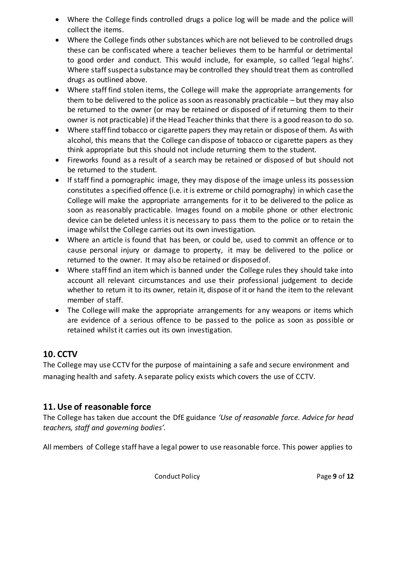- Where the College finds controlled drugs a police log will be made and the police will collect the items.
- Where the College finds other substances which are not believed to be controlled drugs these can be confiscated where a teacher believes them to be harmful or detrimental to good order and conduct. This would include, for example, so called 'legal highs'. Where staff suspecta substance may be controlled they should treat them as controlled drugs as outlined above.
- Where staff find stolen items, the College will make the appropriate arrangements for them to be delivered to the police as soon as reasonably practicable – but they may also be returned to the owner (or may be retained or disposed of if returning them to their owner is not practicable) if the Head Teacher thinks that there is a good reason to do so.
- Where staff find tobacco or cigarette papers they may retain or dispose of them. As with alcohol, this means that the College can dispose of tobacco or cigarette papers as they think appropriate but this should not include returning them to the student.
- Fireworks found as a result of a search may be retained or disposed of but should not be returned to the student.
- If staff find a pornographic image, they may dispose of the image unless its possession constitutes a specified offence (i.e. itis extreme or child pornography) in which case the College will make the appropriate arrangements for it to be delivered to the police as soon as reasonably practicable. Images found on a mobile phone or other electronic device can be deleted unless itis necessary to pass them to the police or to retain the image whilst the College carries out its own investigation.
- Where an article is found that has been, or could be, used to commit an offence or to cause personal injury or damage to property, it may be delivered to the police or returned to the owner. It may also be retained or disposedof.
- Where staff find an item which is banned under the College rules they should take into account all relevant circumstances and use their professional judgement to decide whether to return it to its owner, retain it, dispose of it or hand the item to the relevant member of staff.
- The College will make the appropriate arrangements for any weapons or items which are evidence of a serious offence to be passed to the police as soon as possible or retained whilst it carries out its own investigation.

# **10. CCTV**

The College may use CCTV for the purpose of maintaining a safe and secure environment and managing health and safety. A separate policy exists which covers the use of CCTV.

# **11. Use of reasonable force**

The College has taken due account the DfE guidance *'Use of reasonable force. Advice for head teachers, staff and governing bodies'.*

All members of College staff have a legal power to use reasonable force. This power applies to

Conduct Policy Page **9** of **12**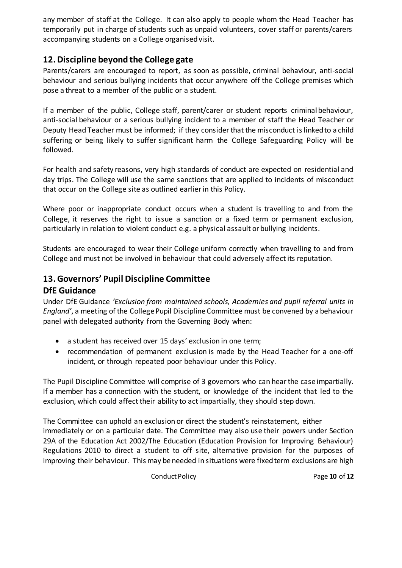any member of staff at the College. It can also apply to people whom the Head Teacher has temporarily put in charge of students such as unpaid volunteers, cover staff or parents/carers accompanying students on a College organised visit.

### **12. Discipline beyond the College gate**

Parents/carers are encouraged to report, as soon as possible, criminal behaviour, anti-social behaviour and serious bullying incidents that occur anywhere off the College premises which pose a threat to a member of the public or a student.

If a member of the public, College staff, parent/carer or student reports criminal behaviour, anti-social behaviour or a serious bullying incident to a member of staff the Head Teacher or Deputy Head Teacher must be informed; if they consider that the misconduct is linked to a child suffering or being likely to suffer significant harm the College Safeguarding Policy will be followed.

For health and safety reasons, very high standards of conduct are expected on residential and day trips. The College will use the same sanctions that are applied to incidents of misconduct that occur on the College site as outlined earlier in this Policy.

Where poor or inappropriate conduct occurs when a student is travelling to and from the College, it reserves the right to issue a sanction or a fixed term or permanent exclusion, particularly in relation to violent conduct e.g. a physical assault or bullying incidents.

Students are encouraged to wear their College uniform correctly when travelling to and from College and must not be involved in behaviour that could adversely affect its reputation.

### **13. Governors' Pupil Discipline Committee**

### **DfE Guidance**

Under DfE Guidance *'Exclusion from maintained schools, Academies and pupil referral units in England'*, a meeting of the College Pupil Discipline Committee must be convened by a behaviour panel with delegated authority from the Governing Body when:

- a student has received over 15 days' exclusion in one term;
- recommendation of permanent exclusion is made by the Head Teacher for a one-off incident, or through repeated poor behaviour under this Policy.

The Pupil Discipline Committee will comprise of 3 governors who can hearthe case impartially. If a member has a connection with the student, or knowledge of the incident that led to the exclusion, which could affect their ability to act impartially, they should step down.

The Committee can uphold an exclusion or direct the student's reinstatement, either immediately or on a particular date. The Committee may also use their powers under Section 29A of the Education Act 2002/The Education (Education Provision for Improving Behaviour) Regulations 2010 to direct a student to off site, alternative provision for the purposes of improving their behaviour. This may be needed in situations were fixed term exclusions are high

Conduct Policy Page **10** of **12**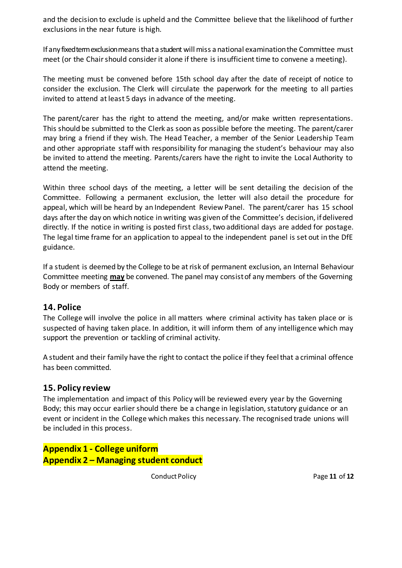and the decision to exclude is upheld and the Committee believe that the likelihood of further exclusions in the near future is high.

If any fixed term exclusion means that a student will miss a national examination the Committee must meet (or the Chair should consider it alone if there is insufficient time to convene a meeting).

The meeting must be convened before 15th school day after the date of receipt of notice to consider the exclusion. The Clerk will circulate the paperwork for the meeting to all parties invited to attend at least 5 days in advance of the meeting.

The parent/carer has the right to attend the meeting, and/or make written representations. This should be submitted to the Clerk as soon as possible before the meeting. The parent/carer may bring a friend if they wish. The Head Teacher, a member of the Senior Leadership Team and other appropriate staff with responsibility for managing the student's behaviour may also be invited to attend the meeting. Parents/carers have the right to invite the Local Authority to attend the meeting.

Within three school days of the meeting, a letter will be sent detailing the decision of the Committee. Following a permanent exclusion, the letter will also detail the procedure for appeal, which will be heard by an Independent Review Panel. The parent/carer has 15 school days after the day on which notice in writing was given of the Committee's decision, if delivered directly. If the notice in writing is posted first class, two additional days are added for postage. The legal time frame for an application to appeal to the independent panel is set out in the DfE guidance.

If a student is deemed by the College to be atrisk of permanent exclusion, an Internal Behaviour Committee meeting **may** be convened. The panel may consist of any members of the Governing Body or members of staff.

### **14. Police**

The College will involve the police in all matters where criminal activity has taken place or is suspected of having taken place. In addition, it will inform them of any intelligence which may support the prevention or tackling of criminal activity.

A student and their family have the right to contact the police if they feel that a criminal offence has been committed.

### **15. Policy review**

The implementation and impact of this Policy will be reviewed every year by the Governing Body; this may occur earlier should there be a change in legislation, statutory guidance or an event or incident in the College which makes this necessary. The recognised trade unions will be included in this process.

**Appendix 1 - College uniform Appendix 2 – Managing student conduct**

Conduct Policy Page **11** of **12**